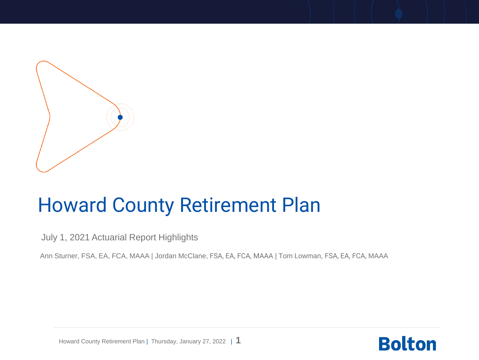

## Howard County Retirement Plan

July 1, 2021 Actuarial Report Highlights

Ann Sturner, FSA, EA, FCA, MAAA | Jordan McClane, FSA, EA, FCA, MAAA | Tom Lowman, FSA, EA, FCA, MAAA



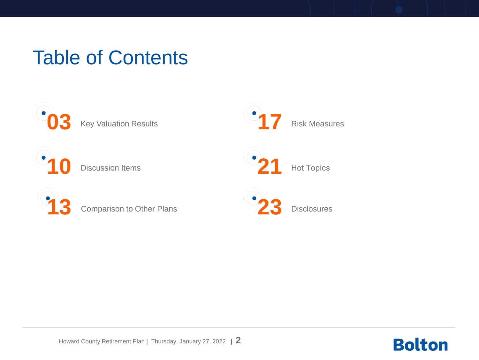## Table of Contents



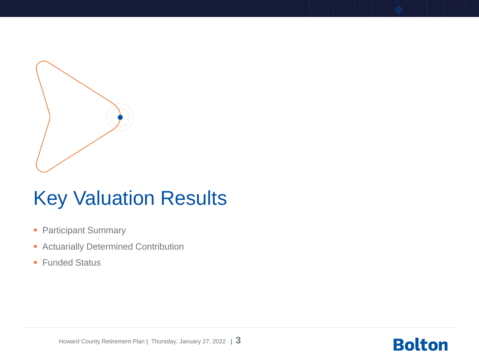

## Key Valuation Results

- Participant Summary
- **EXECUTE: Actuarially Determined Contribution**
- Funded Status

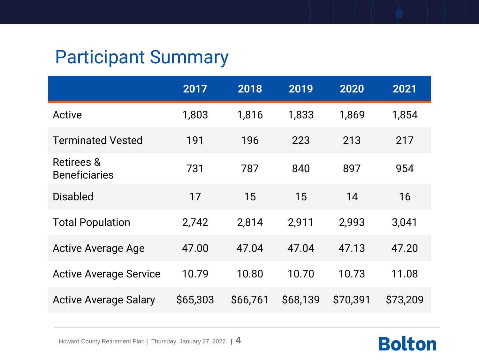### Participant Summary

|                                               | 2017     | 2018     | 2019     | 2020     | 2021     |
|-----------------------------------------------|----------|----------|----------|----------|----------|
| Active                                        | 1,803    | 1,816    | 1,833    | 1,869    | 1,854    |
| <b>Terminated Vested</b>                      | 191      | 196      | 223      | 213      | 217      |
| <b>Retirees &amp;</b><br><b>Beneficiaries</b> | 731      | 787      | 840      | 897      | 954      |
| <b>Disabled</b>                               | 17       | 15       | 15       | 14       | 16       |
| <b>Total Population</b>                       | 2,742    | 2,814    | 2,911    | 2,993    | 3,041    |
| <b>Active Average Age</b>                     | 47.00    | 47.04    | 47.04    | 47.13    | 47.20    |
| <b>Active Average Service</b>                 | 10.79    | 10.80    | 10.70    | 10.73    | 11.08    |
| <b>Active Average Salary</b>                  | \$65,303 | \$66,761 | \$68,139 | \$70,391 | \$73,209 |

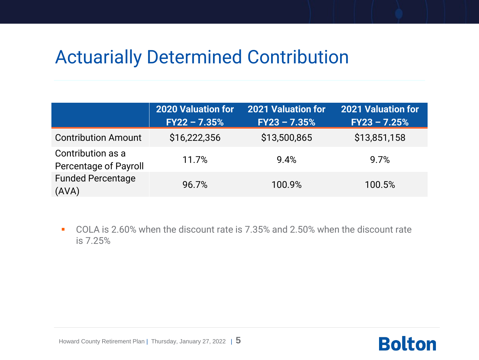### Actuarially Determined Contribution

|                                                   | <b>2020 Valuation for</b> | <b>2021 Valuation for</b> | <b>2021 Valuation for</b> |
|---------------------------------------------------|---------------------------|---------------------------|---------------------------|
|                                                   | $FY22 - 7.35%$            | $FY23 - 7.35%$            | $FY23 - 7.25%$            |
| <b>Contribution Amount</b>                        | \$16,222,356              | \$13,500,865              | \$13,851,158              |
| Contribution as a<br><b>Percentage of Payroll</b> | 11.7%                     | 9.4%                      | 9.7%                      |
| <b>Funded Percentage</b><br>(AVA)                 | 96.7%                     | 100.9%                    | 100.5%                    |

■ COLA is 2.60% when the discount rate is 7.35% and 2.50% when the discount rate is 7.25%



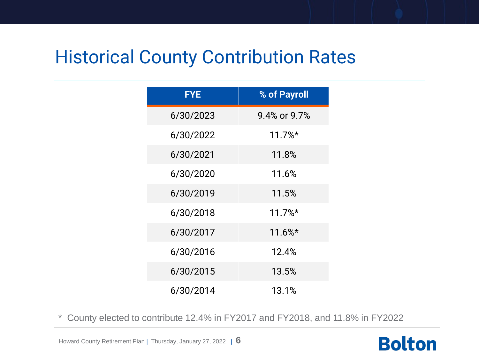### Historical County Contribution Rates

| <b>FYE</b> | % of Payroll |
|------------|--------------|
| 6/30/2023  | 9.4% or 9.7% |
| 6/30/2022  | $11.7\%*$    |
| 6/30/2021  | 11.8%        |
| 6/30/2020  | 11.6%        |
| 6/30/2019  | 11.5%        |
| 6/30/2018  | $11.7%$ *    |
| 6/30/2017  | $11.6\%*$    |
| 6/30/2016  | 12.4%        |
| 6/30/2015  | 13.5%        |
| 6/30/2014  | 13.1%        |

\* County elected to contribute 12.4% in FY2017 and FY2018, and 11.8% in FY2022

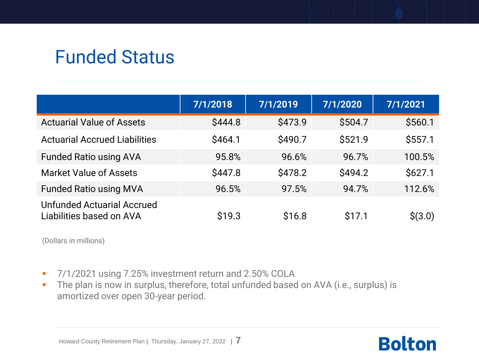### Funded Status

|                                                               | 7/1/2018 | 7/1/2019 | 7/1/2020 | 7/1/2021 |
|---------------------------------------------------------------|----------|----------|----------|----------|
| <b>Actuarial Value of Assets</b>                              | \$444.8  | \$473.9  | \$504.7  | \$560.1  |
| <b>Actuarial Accrued Liabilities</b>                          | \$464.1  | \$490.7  | \$521.9  | \$557.1  |
| <b>Funded Ratio using AVA</b>                                 | 95.8%    | 96.6%    | 96.7%    | 100.5%   |
| <b>Market Value of Assets</b>                                 | \$447.8  | \$478.2  | \$494.2  | \$627.1  |
| <b>Funded Ratio using MVA</b>                                 | 96.5%    | 97.5%    | 94.7%    | 112.6%   |
| <b>Unfunded Actuarial Accrued</b><br>Liabilities based on AVA | \$19.3   | \$16.8   | \$17.1   | \$(3.0)  |

(Dollars in millions)

- 7/1/2021 using 7.25% investment return and 2.50% COLA
- **·** The plan is now in surplus, therefore, total unfunded based on AVA (i.e., surplus) is amortized over open 30-year period.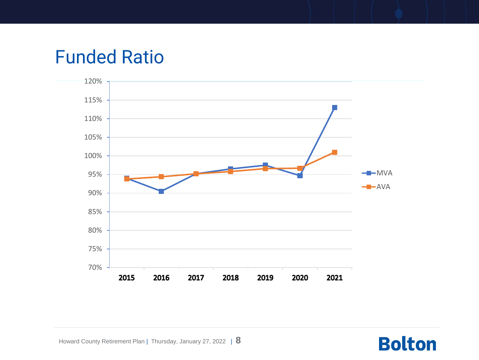### Funded Ratio

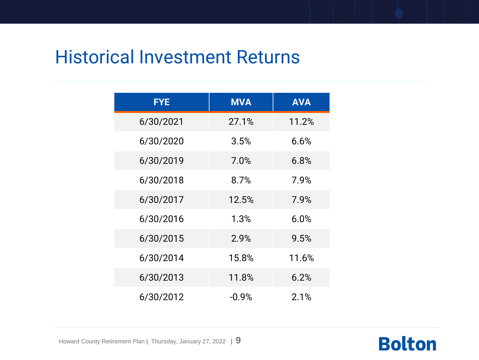### Historical Investment Returns

| <b>FYE</b> | <b>MVA</b> | <b>AVA</b> |
|------------|------------|------------|
| 6/30/2021  | 27.1%      | 11.2%      |
| 6/30/2020  | 3.5%       | 6.6%       |
| 6/30/2019  | 7.0%       | 6.8%       |
| 6/30/2018  | 8.7%       | 7.9%       |
| 6/30/2017  | 12.5%      | 7.9%       |
| 6/30/2016  | 1.3%       | 6.0%       |
| 6/30/2015  | 2.9%       | 9.5%       |
| 6/30/2014  | 15.8%      | 11.6%      |
| 6/30/2013  | 11.8%      | 6.2%       |
| 6/30/2012  | $-0.9%$    | 2.1%       |

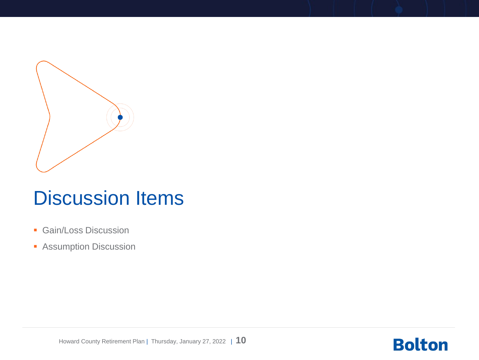

### Discussion Items

- **Gain/Loss Discussion**
- **B** Assumption Discussion



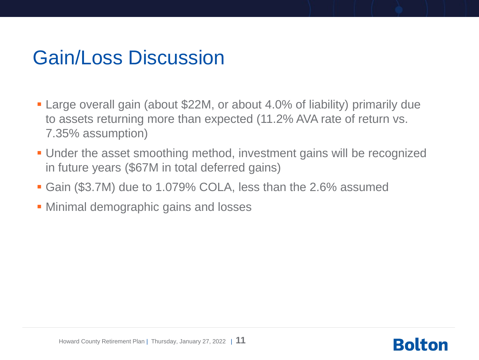## Gain/Loss Discussion

- Large overall gain (about \$22M, or about 4.0% of liability) primarily due to assets returning more than expected (11.2% AVA rate of return vs. 7.35% assumption)
- **.** Under the asset smoothing method, investment gains will be recognized in future years (\$67M in total deferred gains)
- Gain (\$3.7M) due to 1.079% COLA, less than the 2.6% assumed
- **Minimal demographic gains and losses**

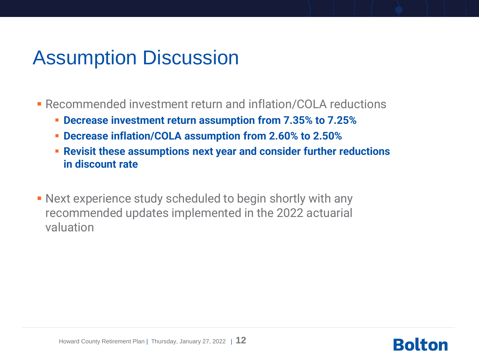## Assumption Discussion

- **EXECOMMENDED INVESTMENT RETAINT AND INFIRENT PROPERTY REPAIRING PROPERTY REPAIRING PROPERTY RETAILER** 
	- **Decrease investment return assumption from 7.35% to 7.25%**
	- **Decrease inflation/COLA assumption from 2.60% to 2.50%**
	- **Revisit these assumptions next year and consider further reductions in discount rate**
- **Next experience study scheduled to begin shortly with any** recommended updates implemented in the 2022 actuarial valuation



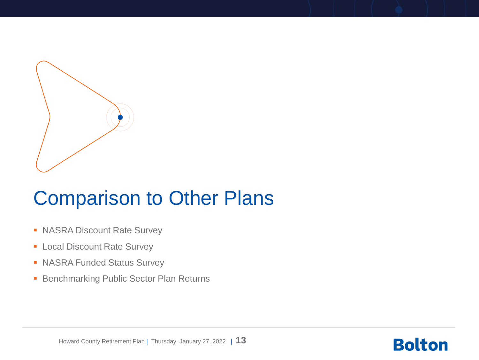

### Comparison to Other Plans

- NASRA Discount Rate Survey
- **Exercise Local Discount Rate Survey**
- NASRA Funded Status Survey
- Benchmarking Public Sector Plan Returns



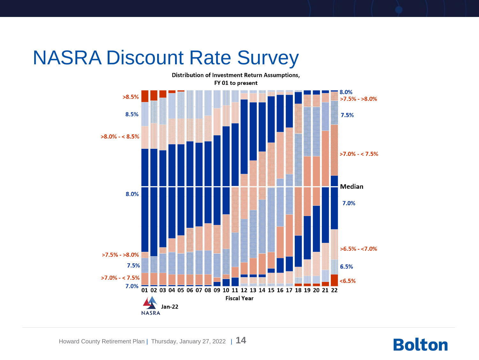## NASRA Discount Rate Survey

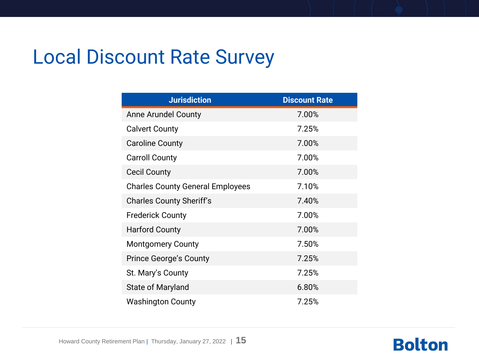## Local Discount Rate Survey

| <b>Jurisdiction</b>                     | <b>Discount Rate</b> |
|-----------------------------------------|----------------------|
| Anne Arundel County                     | 7.00%                |
| <b>Calvert County</b>                   | 7.25%                |
| <b>Caroline County</b>                  | 7.00%                |
| <b>Carroll County</b>                   | 7.00%                |
| <b>Cecil County</b>                     | 7.00%                |
| <b>Charles County General Employees</b> | 7.10%                |
| <b>Charles County Sheriff's</b>         | 7.40%                |
| <b>Frederick County</b>                 | 7.00%                |
| <b>Harford County</b>                   | 7.00%                |
| <b>Montgomery County</b>                | 7.50%                |
| <b>Prince George's County</b>           | 7.25%                |
| St. Mary's County                       | 7.25%                |
| State of Maryland                       | 6.80%                |
| <b>Washington County</b>                | 7.25%                |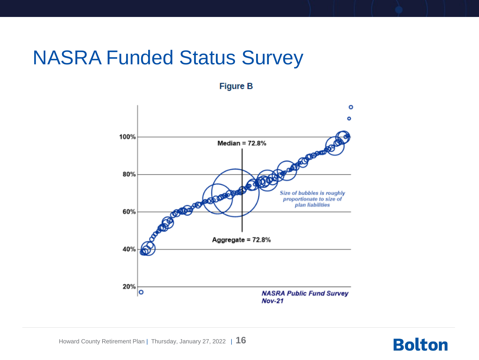### NASRA Funded Status Survey

**Figure B** 

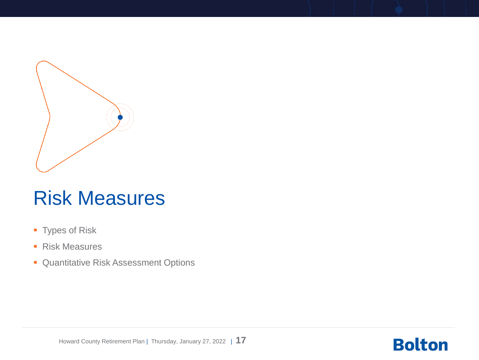

### Risk Measures

- **Types of Risk**
- Risk Measures
- **Quantitative Risk Assessment Options**



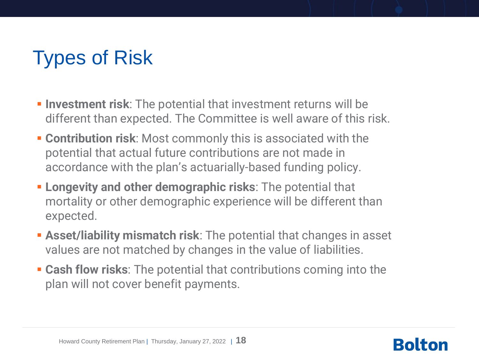## Types of Risk

- **EXTERN Investment risk:** The potential that investment returns will be different than expected. The Committee is well aware of this risk.
- **EXECONTERE:** Contribution risk: Most commonly this is associated with the potential that actual future contributions are not made in accordance with the plan's actuarially-based funding policy.
- **Example 1 Longevity and other demographic risks:** The potential that mortality or other demographic experience will be different than expected.
- **EXECT:** Asset/liability mismatch risk: The potential that changes in asset values are not matched by changes in the value of liabilities.
- **Example 1 Cash flow risks:** The potential that contributions coming into the plan will not cover benefit payments.

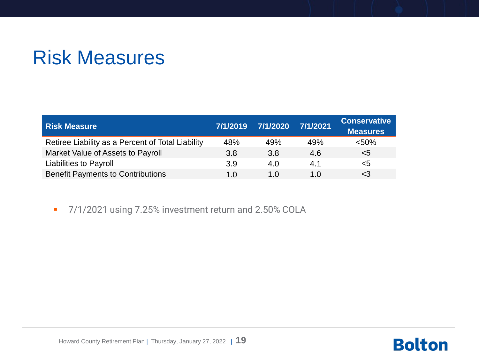## Risk Measures

| <b>Risk Measure</b>                               | 7/1/2019 | 7/1/2020 | 7/1/2021 | <b>Conservative</b><br><b>Measures</b> |
|---------------------------------------------------|----------|----------|----------|----------------------------------------|
| Retiree Liability as a Percent of Total Liability | 48%      | 49%      | 49%      | < 50%                                  |
| Market Value of Assets to Payroll                 | 3.8      | 3.8      | 4.6      | $5$                                    |
| <b>Liabilities to Payroll</b>                     | 3.9      | 4.0      | 4.1      | <5                                     |
| <b>Benefit Payments to Contributions</b>          | 1.0      | 1.0      | 1.0      | $<$ 3                                  |

■ 7/1/2021 using 7.25% investment return and 2.50% COLA

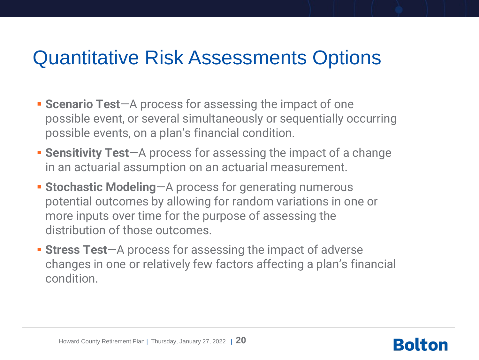## Quantitative Risk Assessments Options

- **Example 3 Scenario Test**—A process for assessing the impact of one possible event, or several simultaneously or sequentially occurring possible events, on a plan's financial condition.
- **EXERGIVE:** Sensitivity Test-A process for assessing the impact of a change in an actuarial assumption on an actuarial measurement.
- **Example 3 Stochastic Modeling-A process for generating numerous** potential outcomes by allowing for random variations in one or more inputs over time for the purpose of assessing the distribution of those outcomes.
- **Extress Test-A** process for assessing the impact of adverse changes in one or relatively few factors affecting a plan's financial condition.



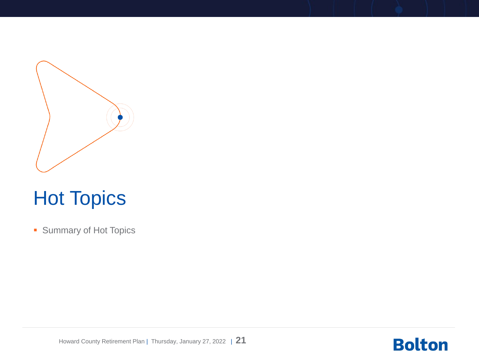

## Hot Topics

■ Summary of Hot Topics



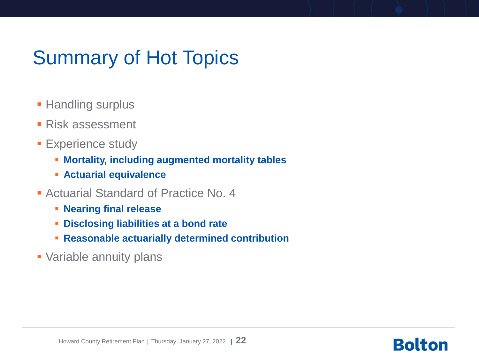## Summary of Hot Topics

- **E** Handling surplus
- Risk assessment
- **Experience study** 
	- **Mortality, including augmented mortality tables**
	- **Actuarial equivalence**
- Actuarial Standard of Practice No. 4
	- **Nearing final release**
	- **Disclosing liabilities at a bond rate**
	- **Reasonable actuarially determined contribution**
- **Variable annuity plans**

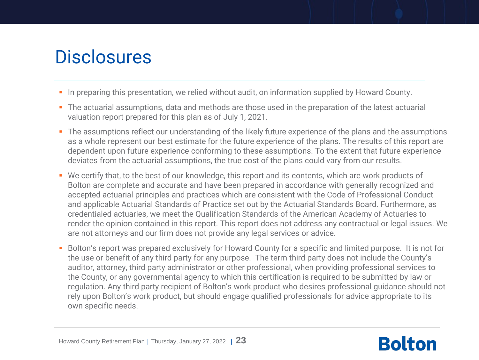### **Disclosures**

- **•** In preparing this presentation, we relied without audit, on information supplied by Howard County.
- The actuarial assumptions, data and methods are those used in the preparation of the latest actuarial valuation report prepared for this plan as of July 1, 2021.
- The assumptions reflect our understanding of the likely future experience of the plans and the assumptions as a whole represent our best estimate for the future experience of the plans. The results of this report are dependent upon future experience conforming to these assumptions. To the extent that future experience deviates from the actuarial assumptions, the true cost of the plans could vary from our results.
- We certify that, to the best of our knowledge, this report and its contents, which are work products of Bolton are complete and accurate and have been prepared in accordance with generally recognized and accepted actuarial principles and practices which are consistent with the Code of Professional Conduct and applicable Actuarial Standards of Practice set out by the Actuarial Standards Board. Furthermore, as credentialed actuaries, we meet the Qualification Standards of the American Academy of Actuaries to render the opinion contained in this report. This report does not address any contractual or legal issues. We are not attorneys and our firm does not provide any legal services or advice.
- Bolton's report was prepared exclusively for Howard County for a specific and limited purpose. It is not for the use or benefit of any third party for any purpose. The term third party does not include the County's auditor, attorney, third party administrator or other professional, when providing professional services to the County, or any governmental agency to which this certification is required to be submitted by law or regulation. Any third party recipient of Bolton's work product who desires professional guidance should not rely upon Bolton's work product, but should engage qualified professionals for advice appropriate to its own specific needs.